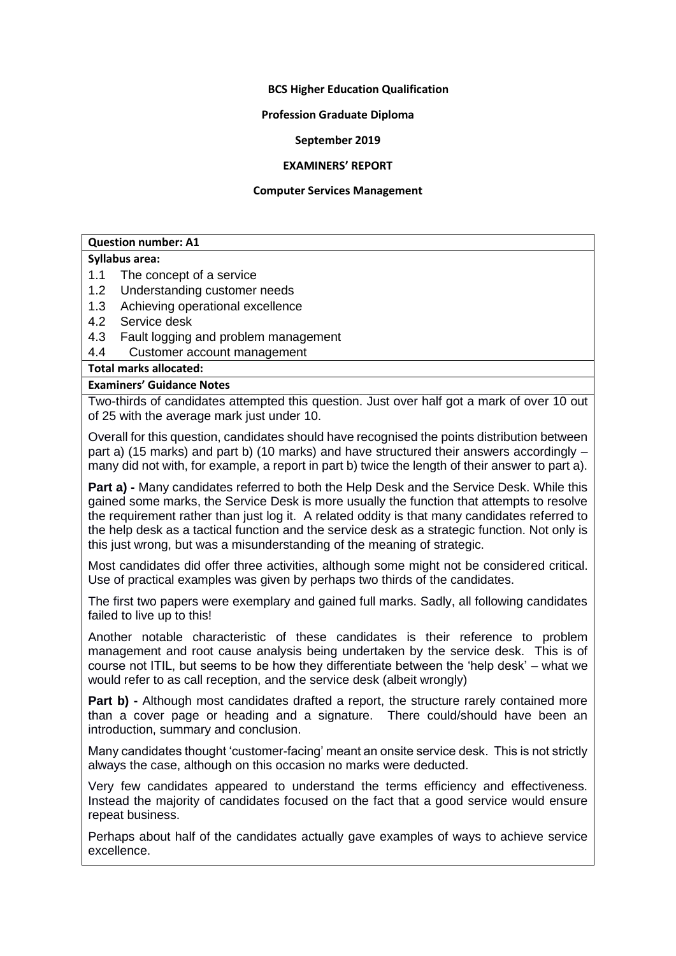### **BCS Higher Education Qualification**

#### **Profession Graduate Diploma**

#### **September 2019**

#### **EXAMINERS' REPORT**

#### **Computer Services Management**

### **Question number: A1**

### **Syllabus area:**

- 1.1 The concept of a service
- 1.2 Understanding customer needs
- 1.3 Achieving operational excellence
- 4.2 Service desk
- 4.3 Fault logging and problem management
- 4.4 Customer account management

**Total marks allocated:**

### **Examiners' Guidance Notes**

Two-thirds of candidates attempted this question. Just over half got a mark of over 10 out of 25 with the average mark just under 10.

Overall for this question, candidates should have recognised the points distribution between part a) (15 marks) and part b) (10 marks) and have structured their answers accordingly – many did not with, for example, a report in part b) twice the length of their answer to part a).

**Part a) -** Many candidates referred to both the Help Desk and the Service Desk. While this gained some marks, the Service Desk is more usually the function that attempts to resolve the requirement rather than just log it. A related oddity is that many candidates referred to the help desk as a tactical function and the service desk as a strategic function. Not only is this just wrong, but was a misunderstanding of the meaning of strategic.

Most candidates did offer three activities, although some might not be considered critical. Use of practical examples was given by perhaps two thirds of the candidates.

The first two papers were exemplary and gained full marks. Sadly, all following candidates failed to live up to this!

Another notable characteristic of these candidates is their reference to problem management and root cause analysis being undertaken by the service desk. This is of course not ITIL, but seems to be how they differentiate between the 'help desk' – what we would refer to as call reception, and the service desk (albeit wrongly)

**Part b) -** Although most candidates drafted a report, the structure rarely contained more than a cover page or heading and a signature. There could/should have been an introduction, summary and conclusion.

Many candidates thought 'customer-facing' meant an onsite service desk. This is not strictly always the case, although on this occasion no marks were deducted.

Very few candidates appeared to understand the terms efficiency and effectiveness. Instead the majority of candidates focused on the fact that a good service would ensure repeat business.

Perhaps about half of the candidates actually gave examples of ways to achieve service excellence.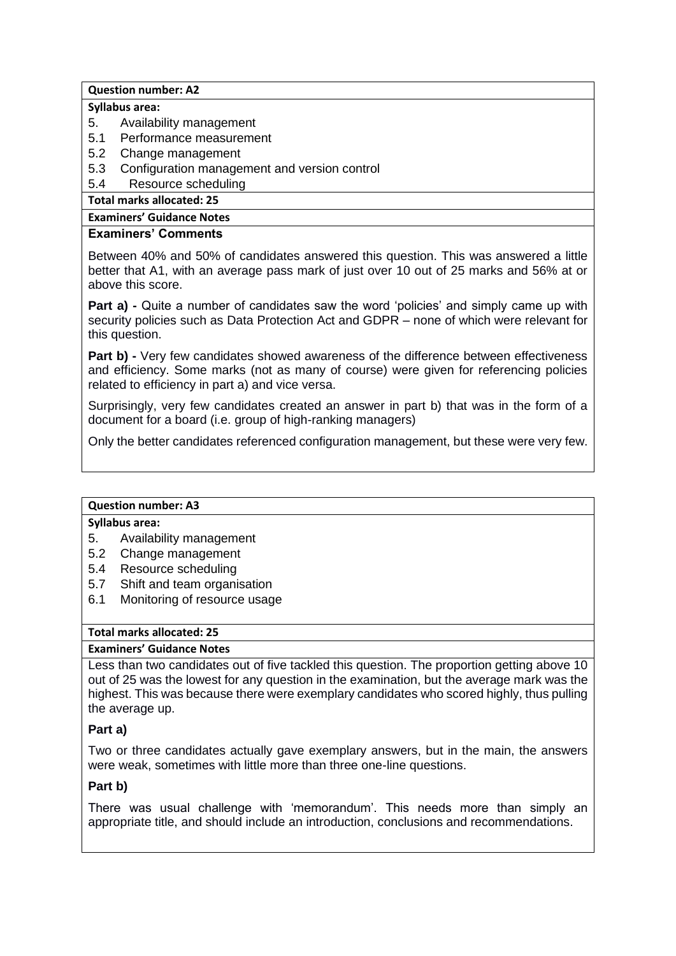### **Question number: A2**

### **Syllabus area:**

- 5. Availability management
- 5.1 Performance measurement
- 5.2 Change management
- 5.3 Configuration management and version control
- 5.4 Resource scheduling

**Total marks allocated: 25**

# **Examiners' Guidance Notes**

# **Examiners' Comments**

Between 40% and 50% of candidates answered this question. This was answered a little better that A1, with an average pass mark of just over 10 out of 25 marks and 56% at or above this score.

**Part a) -** Quite a number of candidates saw the word 'policies' and simply came up with security policies such as Data Protection Act and GDPR – none of which were relevant for this question.

**Part b) -** Very few candidates showed awareness of the difference between effectiveness and efficiency. Some marks (not as many of course) were given for referencing policies related to efficiency in part a) and vice versa.

Surprisingly, very few candidates created an answer in part b) that was in the form of a document for a board (i.e. group of high-ranking managers)

Only the better candidates referenced configuration management, but these were very few.

### **Question number: A3**

# **Syllabus area:**

- 5. Availability management
- 5.2 Change management
- 5.4 Resource scheduling
- 5.7 Shift and team organisation
- 6.1 Monitoring of resource usage

## **Total marks allocated: 25**

# **Examiners' Guidance Notes**

Less than two candidates out of five tackled this question. The proportion getting above 10 out of 25 was the lowest for any question in the examination, but the average mark was the highest. This was because there were exemplary candidates who scored highly, thus pulling the average up.

### **Part a)**

Two or three candidates actually gave exemplary answers, but in the main, the answers were weak, sometimes with little more than three one-line questions.

### **Part b)**

There was usual challenge with 'memorandum'. This needs more than simply an appropriate title, and should include an introduction, conclusions and recommendations.